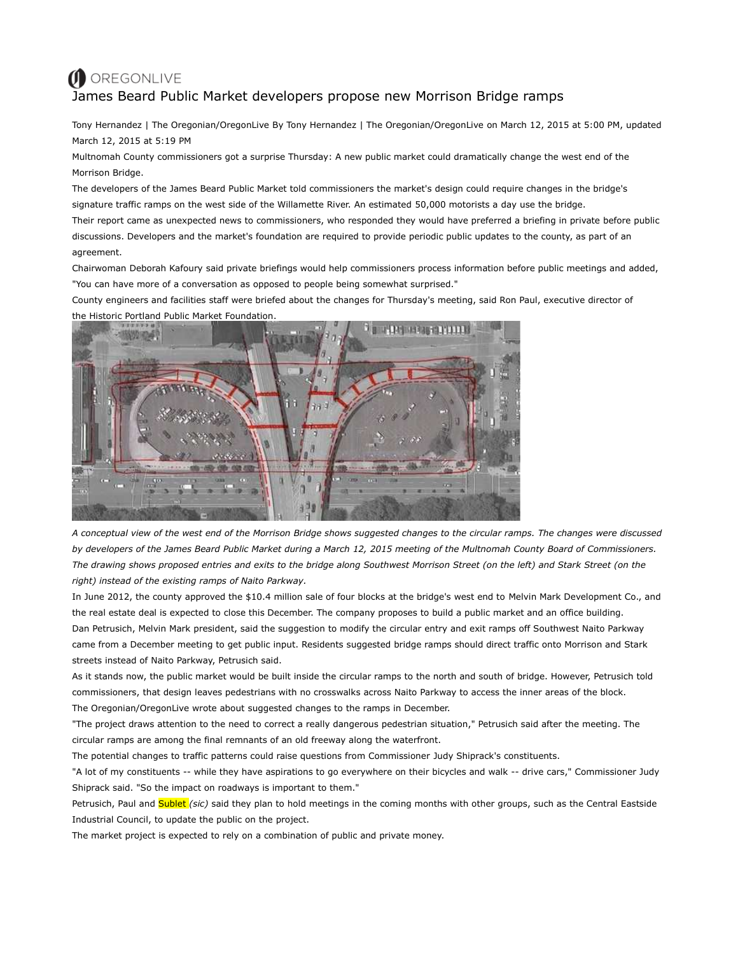## O OREGONLIVE James Beard Public Market developers propose new Morrison Bridge ramps

Tony Hernandez | The Oregonian/OregonLive By Tony Hernandez | The Oregonian/OregonLive on March 12, 2015 at 5:00 PM, updated March 12, 2015 at 5:19 PM

Multnomah County commissioners got a surprise Thursday: A new public market could dramatically change the west end of the Morrison Bridge.

The developers of the James Beard Public Market told commissioners the market's design could require changes in the bridge's signature traffic ramps on the west side of the Willamette River. An estimated 50,000 motorists a day use the bridge.

Their report came as unexpected news to commissioners, who responded they would have preferred a briefing in private before public discussions. Developers and the market's foundation are required to provide periodic public updates to the county, as part of an agreement.

Chairwoman Deborah Kafoury said private briefings would help commissioners process information before public meetings and added, "You can have more of a conversation as opposed to people being somewhat surprised."

County engineers and facilities staff were briefed about the changes for Thursday's meeting, said Ron Paul, executive director of the Historic Portland Public Market Foundation.



*A conceptual view of the west end of the Morrison Bridge shows suggested changes to the circular ramps. The changes were discussed by developers of the James Beard Public Market during a March 12, 2015 meeting of the Multnomah County Board of Commissioners. The drawing shows proposed entries and exits to the bridge along Southwest Morrison Street (on the left) and Stark Street (on the right) instead of the existing ramps of Naito Parkway.*

In June 2012, the county approved the \$10.4 million sale of four blocks at the bridge's west end to Melvin Mark Development Co., and the real estate deal is expected to close this December. The company proposes to build a public market and an office building. Dan Petrusich, Melvin Mark president, said the suggestion to modify the circular entry and exit ramps off Southwest Naito Parkway came from a December meeting to get public input. Residents suggested bridge ramps should direct traffic onto Morrison and Stark streets instead of Naito Parkway, Petrusich said.

As it stands now, the public market would be built inside the circular ramps to the north and south of bridge. However, Petrusich told commissioners, that design leaves pedestrians with no crosswalks across Naito Parkway to access the inner areas of the block. The Oregonian/OregonLive wrote about suggested changes to the ramps in December.

"The project draws attention to the need to correct a really dangerous pedestrian situation," Petrusich said after the meeting. The circular ramps are among the final remnants of an old freeway along the waterfront.

The potential changes to traffic patterns could raise questions from Commissioner Judy Shiprack's constituents.

"A lot of my constituents -- while they have aspirations to go everywhere on their bicycles and walk -- drive cars," Commissioner Judy Shiprack said. "So the impact on roadways is important to them."

Petrusich, Paul and **Sublet** (sic) said they plan to hold meetings in the coming months with other groups, such as the Central Eastside Industrial Council, to update the public on the project.

The market project is expected to rely on a combination of public and private money.